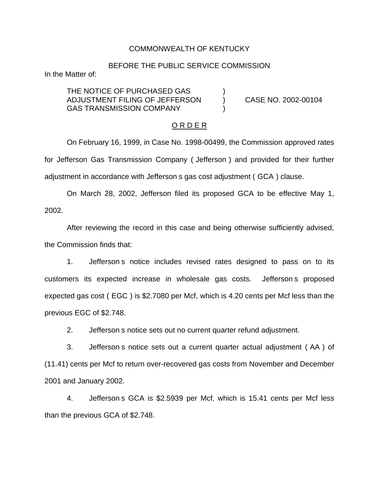## COMMONWEALTH OF KENTUCKY

## BEFORE THE PUBLIC SERVICE COMMISSION

In the Matter of:

THE NOTICE OF PURCHASED GAS ADJUSTMENT FILING OF JEFFERSON ) CASE NO. 2002-00104 GAS TRANSMISSION COMPANY

#### O R D E R

On February 16, 1999, in Case No. 1998-00499, the Commission approved rates for Jefferson Gas Transmission Company ( Jefferson ) and provided for their further adjustment in accordance with Jefferson s gas cost adjustment ( GCA ) clause.

On March 28, 2002, Jefferson filed its proposed GCA to be effective May 1, 2002.

After reviewing the record in this case and being otherwise sufficiently advised, the Commission finds that:

1. Jefferson s notice includes revised rates designed to pass on to its customers its expected increase in wholesale gas costs. Jefferson s proposed expected gas cost ( EGC ) is \$2.7080 per Mcf, which is 4.20 cents per Mcf less than the previous EGC of \$2.748.

2. Jefferson s notice sets out no current quarter refund adjustment.

3. Jefferson s notice sets out a current quarter actual adjustment ( AA ) of (11.41) cents per Mcf to return over-recovered gas costs from November and December 2001 and January 2002.

4. Jefferson s GCA is \$2.5939 per Mcf, which is 15.41 cents per Mcf less than the previous GCA of \$2.748.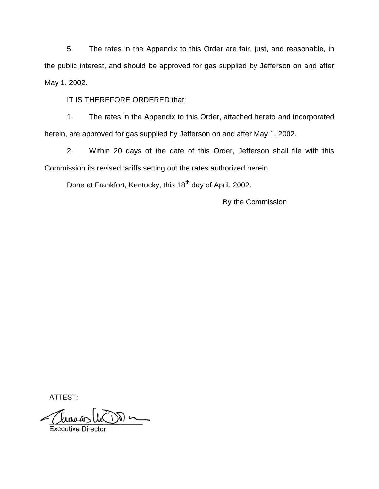5. The rates in the Appendix to this Order are fair, just, and reasonable, in the public interest, and should be approved for gas supplied by Jefferson on and after May 1, 2002.

IT IS THEREFORE ORDERED that:

1. The rates in the Appendix to this Order, attached hereto and incorporated herein, are approved for gas supplied by Jefferson on and after May 1, 2002.

2. Within 20 days of the date of this Order, Jefferson shall file with this Commission its revised tariffs setting out the rates authorized herein.

Done at Frankfort, Kentucky, this 18<sup>th</sup> day of April, 2002.

By the Commission

ATTEST:

**Executive Director**